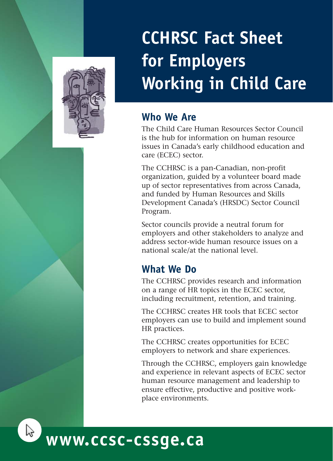

# **CCHRSC Fact Sheet for Employers Working in Child Care**

### **Who We Are**

The Child Care Human Resources Sector Council is the hub for information on human resource issues in Canada's early childhood education and care (ECEC) sector.

The CCHRSC is a pan-Canadian, non-profit organization, guided by a volunteer board made up of sector representatives from across Canada, and funded by Human Resources and Skills Development Canada's (HRSDC) Sector Council Program.

Sector councils provide a neutral forum for employers and other stakeholders to analyze and address sector-wide human resource issues on a national scale/at the national level.

### **What We Do**

The CCHRSC provides research and information on a range of HR topics in the ECEC sector, including recruitment, retention, and training.

The CCHRSC creates HR tools that ECEC sector employers can use to build and implement sound HR practices.

The CCHRSC creates opportunities for ECEC employers to network and share experiences.

Through the CCHRSC, employers gain knowledge and experience in relevant aspects of ECEC sector human resource management and leadership to ensure effective, productive and positive workplace environments.



## **www.ccsc-cssge.ca**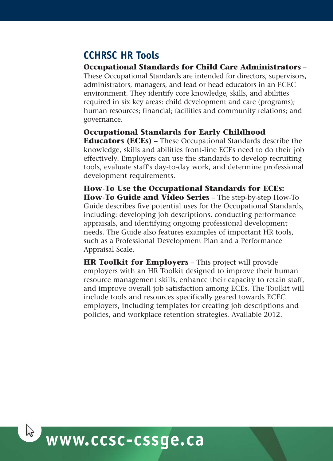## **CCHRSC HR Tools**

#### **Occupational Standards for Child Care Administrators** –

These Occupational Standards are intended for directors, supervisors, administrators, managers, and lead or head educators in an ECEC environment. They identify core knowledge, skills, and abilities required in six key areas: child development and care (programs); human resources; financial; facilities and community relations; and governance.

#### **Occupational Standards for Early Childhood**

**Educators (ECEs)** – These Occupational Standards describe the knowledge, skills and abilities front-line ECEs need to do their job effectively. Employers can use the standards to develop recruiting tools, evaluate staff's day-to-day work, and determine professional development requirements.

**How-To Use the Occupational Standards for ECEs: How-To Guide and Video Series** – The step-by-step How-To Guide describes five potential uses for the Occupational Standards, including: developing job descriptions, conducting performance appraisals, and identifying ongoing professional development needs. The Guide also features examples of important HR tools, such as a Professional Development Plan and a Performance Appraisal Scale.

**HR Toolkit for Employers** – This project will provide employers with an HR Toolkit designed to improve their human resource management skills, enhance their capacity to retain staff, and improve overall job satisfaction among ECEs. The Toolkit will include tools and resources specifically geared towards ECEC employers, including templates for creating job descriptions and policies, and workplace retention strategies. Available 2012.

## **www.ccsc-cssge.ca**

 $\mathbb{R}$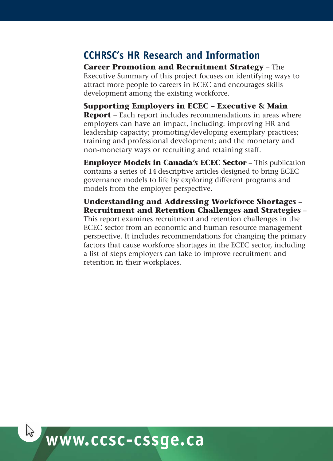## **CCHRSC's HR Research and Information**

**Career Promotion and Recruitment Strategy** – The Executive Summary of this project focuses on identifying ways to attract more people to careers in ECEC and encourages skills development among the existing workforce.

**Supporting Employers in ECEC – Executive & Main Report** – Each report includes recommendations in areas where employers can have an impact, including: improving HR and leadership capacity; promoting/developing exemplary practices; training and professional development; and the monetary and non-monetary ways or recruiting and retaining staff.

**Employer Models in Canada's ECEC Sector** – This publication contains a series of 14 descriptive articles designed to bring ECEC governance models to life by exploring different programs and models from the employer perspective.

**Understanding and Addressing Workforce Shortages – Recruitment and Retention Challenges and Strategies** – This report examines recruitment and retention challenges in the ECEC sector from an economic and human resource management perspective. It includes recommendations for changing the primary factors that cause workforce shortages in the ECEC sector, including a list of steps employers can take to improve recruitment and retention in their workplaces.

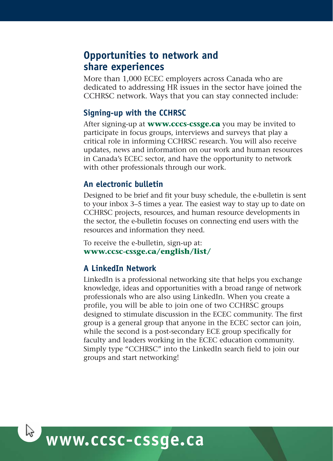### **Opportunities to network and share experiences**

More than 1,000 ECEC employers across Canada who are dedicated to addressing HR issues in the sector have joined the CCHRSC network. Ways that you can stay connected include:

#### **Signing-up with the CCHRSC**

After signing-up at **www.cccs-cssge.ca** you may be invited to participate in focus groups, interviews and surveys that play a critical role in informing CCHRSC research. You will also receive updates, news and information on our work and human resources in Canada's ECEC sector, and have the opportunity to network with other professionals through our work.

#### **An electronic bulletin**

Designed to be brief and fit your busy schedule, the e-bulletin is sent to your inbox 3–5 times a year. The easiest way to stay up to date on CCHRSC projects, resources, and human resource developments in the sector, the e-bulletin focuses on connecting end users with the resources and information they need.

To receive the e-bulletin, sign-up at: **www.ccsc-cssge.ca/english/list/**

#### **A LinkedIn Network**

LinkedIn is a professional networking site that helps you exchange knowledge, ideas and opportunities with a broad range of network professionals who are also using LinkedIn. When you create a profile, you will be able to join one of two CCHRSC groups designed to stimulate discussion in the ECEC community. The first group is a general group that anyone in the ECEC sector can join, while the second is a post-secondary ECE group specifically for faculty and leaders working in the ECEC education community. Simply type "CCHRSC" into the LinkedIn search field to join our groups and start networking!

## **www.ccsc-cssge.ca**

 $\sqrt{2}$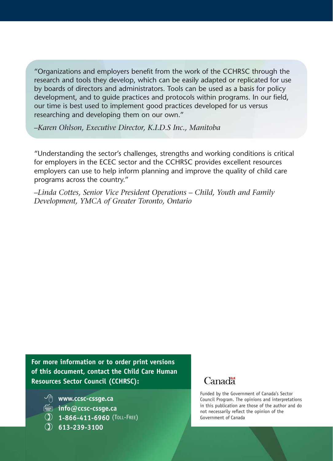"Organizations and employers benefit from the work of the CCHRSC through the research and tools they develop, which can be easily adapted or replicated for use by boards of directors and administrators. Tools can be used as a basis for policy development, and to guide practices and protocols within programs. In our field, our time is best used to implement good practices developed for us versus researching and developing them on our own."

*–Karen Ohlson, Executive Director, K.I.D.S Inc., Manitoba*

"Understanding the sector's challenges, strengths and working conditions is critical for employers in the ECEC sector and the CCHRSC provides excellent resources employers can use to help inform planning and improve the quality of child care programs across the country."

*–Linda Cottes, Senior Vice President Operations – Child, Youth and Family Development, YMCA of Greater Toronto, Ontario* 

**For more information or to order print versions of this document, contact the Child Care Human Resources Sector Council (CCHRSC):**

**www.ccsc-cssge.ca**

- **info@ccsc-cssge.ca**
- **1-866-411-6960** (TOLL-FREE)
- **613-239-3100**

#### Canadä<sup>r</sup>

Funded by the Government of Canada's Sector Council Program. The opinions and interpretations in this publication are those of the author and do not necessarily reflect the opinion of the Government of Canada